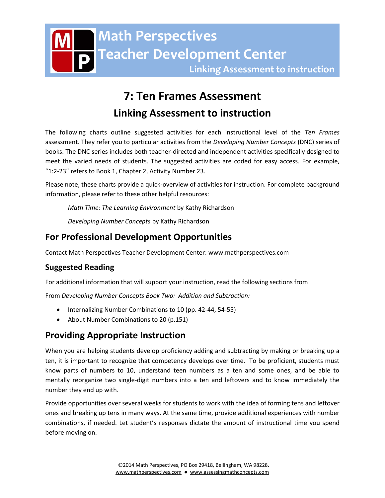# **7: Ten Frames Assessment**

# **Linking Assessment to instruction**

The following charts outline suggested activities for each instructional level of the *Ten Frames* assessment. They refer you to particular activities from the *Developing Number Concepts* (DNC) series of books. The DNC series includes both teacher-directed and independent activities specifically designed to meet the varied needs of students. The suggested activities are coded for easy access. For example, "1:2-23" refers to Book 1, Chapter 2, Activity Number 23.

Please note, these charts provide a quick-overview of activities for instruction. For complete background information, please refer to these other helpful resources:

*Math Time: The Learning Environment* by Kathy Richardson

*Developing Number Concepts* by Kathy Richardson

# **For Professional Development Opportunities**

Contact Math Perspectives Teacher Development Center: www.mathperspectives.com

## **Suggested Reading**

For additional information that will support your instruction, read the following sections from

From *Developing Number Concepts Book Two: Addition and Subtraction:*

- Internalizing Number Combinations to 10 (pp. 42-44, 54-55)
- About Number Combinations to 20 (p.151)

# **Providing Appropriate Instruction**

When you are helping students develop proficiency adding and subtracting by making or breaking up a ten, it is important to recognize that competency develops over time. To be proficient, students must know parts of numbers to 10, understand teen numbers as a ten and some ones, and be able to mentally reorganize two single-digit numbers into a ten and leftovers and to know immediately the number they end up with.

Provide opportunities over several weeks for students to work with the idea of forming tens and leftover ones and breaking up tens in many ways. At the same time, provide additional experiences with number combinations, if needed. Let student's responses dictate the amount of instructional time you spend before moving on.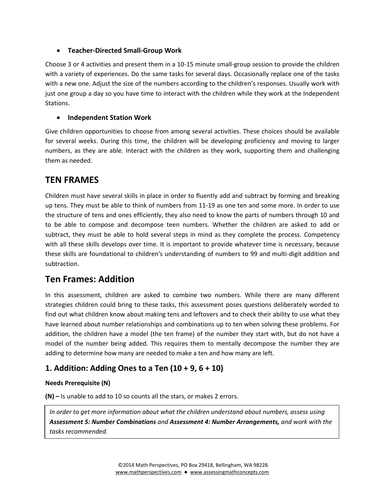#### **Teacher-Directed Small-Group Work**

Choose 3 or 4 activities and present them in a 10-15 minute small-group session to provide the children with a variety of experiences. Do the same tasks for several days. Occasionally replace one of the tasks with a new one. Adjust the size of the numbers according to the children's responses. Usually work with just one group a day so you have time to interact with the children while they work at the Independent Stations.

#### **Independent Station Work**

Give children opportunities to choose from among several activities. These choices should be available for several weeks. During this time, the children will be developing proficiency and moving to larger numbers, as they are able. Interact with the children as they work, supporting them and challenging them as needed.

## **TEN FRAMES**

Children must have several skills in place in order to fluently add and subtract by forming and breaking up tens. They must be able to think of numbers from 11-19 as one ten and some more. In order to use the structure of tens and ones efficiently, they also need to know the parts of numbers through 10 and to be able to compose and decompose teen numbers. Whether the children are asked to add or subtract, they must be able to hold several steps in mind as they complete the process. Competency with all these skills develops over time. It is important to provide whatever time is necessary, because these skills are foundational to children's understanding of numbers to 99 and multi-digit addition and subtraction.

# **Ten Frames: Addition**

In this assessment, children are asked to combine two numbers. While there are many different strategies children could bring to these tasks, this assessment poses questions deliberately worded to find out what children know about making tens and leftovers and to check their ability to use what they have learned about number relationships and combinations up to ten when solving these problems. For addition, the children have a model (the ten frame) of the number they start with, but do not have a model of the number being added. This requires them to mentally decompose the number they are adding to determine how many are needed to make a ten and how many are left.

## **1. Addition: Adding Ones to a Ten (10 + 9, 6 + 10)**

#### **Needs Prerequisite (N)**

**(N) –** Is unable to add to 10 so counts all the stars, or makes 2 errors.

*Children at this level do not understand that teen numbers are made up of one ten and some ones. In order to get more information about what the children understand about numbers, assess using Assessment 5: Number Combinations and Assessment 4: Number Arrangements, and work with the tasks recommended.*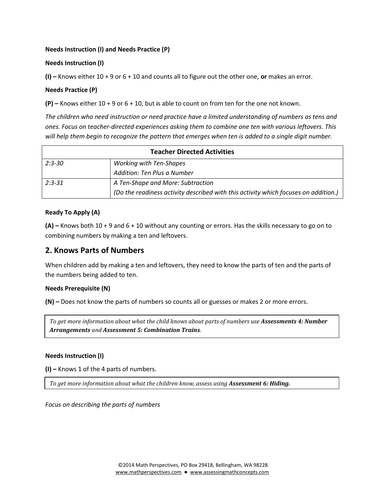#### **Needs Instruction (I) and Needs Practice (P)**

#### **Needs Instruction (I)**

**(I) –** Knows either 10 + 9 or 6 + 10 and counts all to figure out the other one, **or** makes an error.

#### **Needs Practice (P)**

**(P) –** Knows either 10 + 9 or 6 + 10, but is able to count on from ten for the one not known.

*The children who need instruction or need practice have a limited understanding of numbers as tens and ones. Focus on teacher-directed experiences asking them to combine one ten with various leftovers. This will help them begin to recognize the pattern that emerges when ten is added to a single digit number.* 

| <b>Teacher Directed Activities</b> |                                                                                     |
|------------------------------------|-------------------------------------------------------------------------------------|
| $2:3 - 30$                         | <b>Working with Ten-Shapes</b>                                                      |
|                                    | Addition: Ten Plus a Number                                                         |
| $2:3-31$                           | A Ten-Shape and More: Subtraction                                                   |
|                                    | (Do the readiness activity described with this activity which focuses on addition.) |

#### **Ready To Apply (A)**

**(A) –** Knows both 10 + 9 and 6 + 10 without any counting or errors. Has the skills necessary to go on to combining numbers by making a ten and leftovers.

### **2. Knows Parts of Numbers**

When children add by making a ten and leftovers, they need to know the parts of ten and the parts of the numbers being added to ten.

#### **Needs Prerequisite (N)**

**(N) –** Does not know the parts of numbers so counts all or guesses or makes 2 or more errors.

*To get more information about what the child knows about parts of numbers use Assessments 4: Number Arrangements and Assessment 5: Combination Trains.*

#### **Needs Instruction (I)**

**(I) –** Knows 1 of the 4 parts of numbers.

*To get more information about what the children know, assess using Assessment 6: Hiding.*

*Focus on describing the parts of numbers*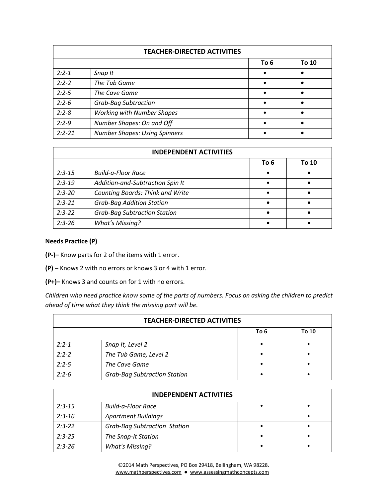| <b>TEACHER-DIRECTED ACTIVITIES</b> |                                      |           |       |
|------------------------------------|--------------------------------------|-----------|-------|
|                                    |                                      | To 6      | To 10 |
| $2:2 - 1$                          | Snap It                              |           |       |
| $2:2 - 2$                          | The Tub Game                         |           |       |
| $2:2 - 5$                          | The Cave Game                        |           |       |
| $2:2-6$                            | <b>Grab-Bag Subtraction</b>          | $\bullet$ |       |
| $2:2 - 8$                          | <b>Working with Number Shapes</b>    | $\bullet$ |       |
| $2:2-9$                            | Number Shapes: On and Off            | $\bullet$ |       |
| $2:2 - 21$                         | <b>Number Shapes: Using Spinners</b> | $\bullet$ |       |

|            | <b>INDEPENDENT ACTIVITIES</b>           |      |       |
|------------|-----------------------------------------|------|-------|
|            |                                         | To 6 | To 10 |
| $2:3-15$   | <b>Build-a-Floor Race</b>               |      |       |
| $2:3-19$   | Addition-and-Subtraction Spin It        |      |       |
| $2:3 - 20$ | <b>Counting Boards: Think and Write</b> |      |       |
| $2:3 - 21$ | <b>Grab-Bag Addition Station</b>        |      |       |
| $2:3-22$   | <b>Grab-Bag Subtraction Station</b>     |      |       |
| $2:3 - 26$ | <b>What's Missing?</b>                  |      |       |

#### **Needs Practice (P)**

**(P-)–** Know parts for 2 of the items with 1 error.

**(P) –** Knows 2 with no errors or knows 3 or 4 with 1 error.

**(P+)–** Knows 3 and counts on for 1 with no errors.

*Children who need practice know some of the parts of numbers. Focus on asking the children to predict ahead of time what they think the missing part will be.*

|           | <b>TEACHER-DIRECTED ACTIVITIES</b>  |      |       |
|-----------|-------------------------------------|------|-------|
|           |                                     | To 6 | To 10 |
| $2:2 - 1$ | Snap It, Level 2                    |      |       |
| $2:2-2$   | The Tub Game, Level 2               |      |       |
| $2:2-5$   | The Cave Game                       |      |       |
| $2:2-6$   | <b>Grab-Bag Subtraction Station</b> |      |       |

|          | <b>INDEPENDENT ACTIVITIES</b>       |  |
|----------|-------------------------------------|--|
| $2:3-15$ | <b>Build-a-Floor Race</b>           |  |
| $2:3-16$ | <b>Apartment Buildings</b>          |  |
| $2:3-22$ | <b>Grab-Bag Subtraction Station</b> |  |
| $2:3-25$ | The Snap-It Station                 |  |
| $2:3-26$ | <b>What's Missing?</b>              |  |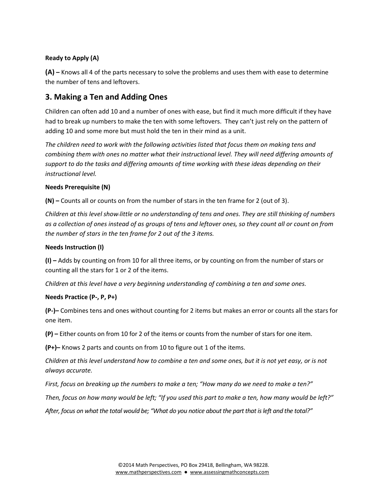#### **Ready to Apply (A)**

**(A) –** Knows all 4 of the parts necessary to solve the problems and uses them with ease to determine the number of tens and leftovers.

### **3. Making a Ten and Adding Ones**

Children can often add 10 and a number of ones with ease, but find it much more difficult if they have had to break up numbers to make the ten with some leftovers. They can't just rely on the pattern of adding 10 and some more but must hold the ten in their mind as a unit.

*The children need to work with the following activities listed that focus them on making tens and combining them with ones no matter what their instructional level. They will need differing amounts of support to do the tasks and differing amounts of time working with these ideas depending on their instructional level.*

#### **Needs Prerequisite (N)**

**(N) –** Counts all or counts on from the number of stars in the ten frame for 2 (out of 3).

*Children at this level show little or no understanding of tens and ones. They are still thinking of numbers as a collection of ones instead of as groups of tens and leftover ones, so they count all or count on from the number of stars in the ten frame for 2 out of the 3 items.*

#### **Needs Instruction (I)**

**(I) –** Adds by counting on from 10 for all three items, or by counting on from the number of stars or counting all the stars for 1 or 2 of the items.

*Children at this level have a very beginning understanding of combining a ten and some ones.*

#### **Needs Practice (P-, P, P+)**

**(P-)–** Combines tens and ones without counting for 2 items but makes an error or counts all the stars for one item.

**(P) –** Either counts on from 10 for 2 of the items or counts from the number of stars for one item.

**(P+)–** Knows 2 parts and counts on from 10 to figure out 1 of the items.

*Children at this level understand how to combine a ten and some ones, but it is not yet easy, or is not always accurate.*

*First, focus on breaking up the numbers to make a ten; "How many do we need to make a ten?"*

*Then, focus on how many would be left; "If you used this part to make a ten, how many would be left?"*

*After, focus on what the total would be; "What do you notice about the part that is left and the total?"*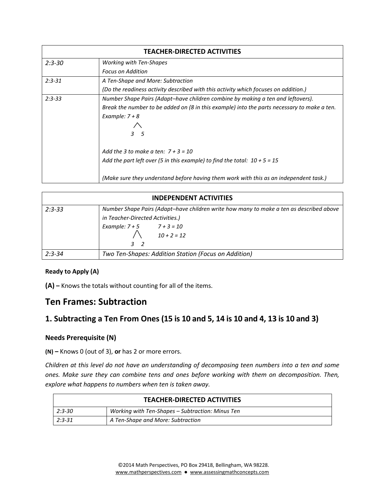| <b>TEACHER-DIRECTED ACTIVITIES</b> |                                                                                             |
|------------------------------------|---------------------------------------------------------------------------------------------|
| $2:3 - 30$                         | <b>Working with Ten-Shapes</b>                                                              |
|                                    | <b>Focus on Addition</b>                                                                    |
| $2:3 - 31$                         | A Ten-Shape and More: Subtraction                                                           |
|                                    | (Do the readiness activity described with this activity which focuses on addition.)         |
| $2:3 - 33$                         | Number Shape Pairs (Adapt-have children combine by making a ten and leftovers).             |
|                                    | Break the number to be added on (8 in this example) into the parts necessary to make a ten. |
|                                    | Example: $7 + 8$                                                                            |
|                                    |                                                                                             |
|                                    | 3 <sub>5</sub>                                                                              |
|                                    |                                                                                             |
|                                    | Add the 3 to make a ten: $7 + 3 = 10$                                                       |
|                                    | Add the part left over (5 in this example) to find the total: $10 + 5 = 15$                 |
|                                    | (Make sure they understand before having them work with this as an independent task.)       |

|            | <b>INDEPENDENT ACTIVITIES</b>                                                           |  |
|------------|-----------------------------------------------------------------------------------------|--|
| $2:3 - 33$ | Number Shape Pairs (Adapt-have children write how many to make a ten as described above |  |
|            | in Teacher-Directed Activities.)                                                        |  |
|            | Example: $7 + 5$ $7 + 3 = 10$                                                           |  |
|            | $10 + 2 = 12$                                                                           |  |
|            | 32                                                                                      |  |
| $2:3 - 34$ | Two Ten-Shapes: Addition Station (Focus on Addition)                                    |  |

#### **Ready to Apply (A)**

**(A) –** Knows the totals without counting for all of the items.

# **Ten Frames: Subtraction**

## **1. Subtracting a Ten From Ones (15 is 10 and 5, 14 is 10 and 4, 13 is 10 and 3)**

#### **Needs Prerequisite (N)**

**(N) –** Knows 0 (out of 3), **or** has 2 or more errors.

*Children at this level do not have an understanding of decomposing teen numbers into a ten and some ones. Make sure they can combine tens and ones before working with them on decomposition. Then, explore what happens to numbers when ten is taken away.*

| <b>TEACHER-DIRECTED ACTIVITIES</b> |                                                  |
|------------------------------------|--------------------------------------------------|
| $2:3 - 30$                         | Working with Ten-Shapes – Subtraction: Minus Ten |
| $2:3-31$                           | A Ten-Shape and More: Subtraction                |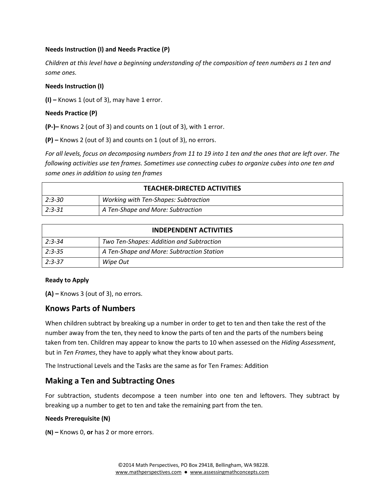#### **Needs Instruction (I) and Needs Practice (P)**

*Children at this level have a beginning understanding of the composition of teen numbers as 1 ten and some ones.* 

#### **Needs Instruction (I)**

**(I) –** Knows 1 (out of 3), may have 1 error.

#### **Needs Practice (P)**

**(P-)–** Knows 2 (out of 3) and counts on 1 (out of 3), with 1 error.

**(P) –** Knows 2 (out of 3) and counts on 1 (out of 3), no errors.

*For all levels, focus on decomposing numbers from 11 to 19 into 1 ten and the ones that are left over. The following activities use ten frames. Sometimes use connecting cubes to organize cubes into one ten and some ones in addition to using ten frames*

| <b>TEACHER-DIRECTED ACTIVITIES</b> |                                      |
|------------------------------------|--------------------------------------|
| $2:3 - 30$                         | Working with Ten-Shapes: Subtraction |
| $2:3-31$                           | A Ten-Shape and More: Subtraction    |

| <b>INDEPENDENT ACTIVITIES</b> |                                           |
|-------------------------------|-------------------------------------------|
| $2:3-34$                      | Two Ten-Shapes: Addition and Subtraction  |
| $2:3-35$                      | A Ten-Shape and More: Subtraction Station |
| $2:3-37$                      | Wipe Out                                  |

#### **Ready to Apply**

**(A) –** Knows 3 (out of 3), no errors.

#### **Knows Parts of Numbers**

When children subtract by breaking up a number in order to get to ten and then take the rest of the number away from the ten, they need to know the parts of ten and the parts of the numbers being taken from ten. Children may appear to know the parts to 10 when assessed on the *Hiding Assessment*, but in *Ten Frames*, they have to apply what they know about parts.

The Instructional Levels and the Tasks are the same as for Ten Frames: Addition

#### **Making a Ten and Subtracting Ones**

For subtraction, students decompose a teen number into one ten and leftovers. They subtract by breaking up a number to get to ten and take the remaining part from the ten.

#### **Needs Prerequisite (N)**

**(N) –** Knows 0, **or** has 2 or more errors.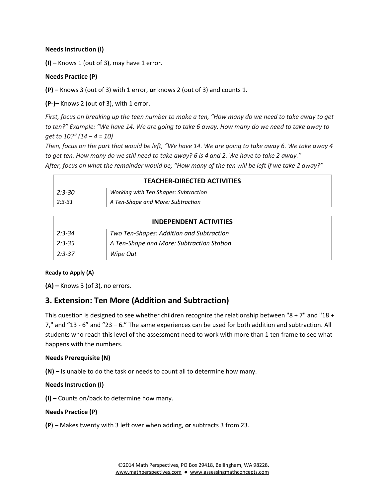#### **Needs Instruction (I)**

**(I) –** Knows 1 (out of 3), may have 1 error.

#### **Needs Practice (P)**

**(P) –** Knows 3 (out of 3) with 1 error, **or** knows 2 (out of 3) and counts 1.

**(P-)–** Knows 2 (out of 3), with 1 error.

*First, focus on breaking up the teen number to make a ten, "How many do we need to take away to get to ten?" Example: "We have 14. We are going to take 6 away. How many do we need to take away to get to 10?" (14 – 4 = 10)* 

*Then, focus on the part that would be left, "We have 14. We are going to take away 6. We take away 4 to get ten. How many do we still need to take away? 6 is 4 and 2. We have to take 2 away." After, focus on what the remainder would be; "How many of the ten will be left if we take 2 away?"*

| <b>TEACHER-DIRECTED ACTIVITIES</b>            |                                      |
|-----------------------------------------------|--------------------------------------|
| $2:3 - 30$                                    | Working with Ten Shapes: Subtraction |
| $2:3-31$<br>A Ten-Shape and More: Subtraction |                                      |

| <b>INDEPENDENT ACTIVITIES</b> |                                           |
|-------------------------------|-------------------------------------------|
| $2:3 - 34$                    | Two Ten-Shapes: Addition and Subtraction  |
| $2:3-35$                      | A Ten-Shape and More: Subtraction Station |
| $2:3-37$                      | Wipe Out                                  |

#### **Ready to Apply (A)**

**(A) –** Knows 3 (of 3), no errors.

### **3. Extension: Ten More (Addition and Subtraction)**

This question is designed to see whether children recognize the relationship between "8 + 7" and "18 + 7," and "13 - 6" and "23 – 6." The same experiences can be used for both addition and subtraction. All students who reach this level of the assessment need to work with more than 1 ten frame to see what happens with the numbers.

#### **Needs Prerequisite (N)**

**(N) –** Is unable to do the task or needs to count all to determine how many.

#### **Needs Instruction (I)**

**(I) –** Counts on/back to determine how many.

#### **Needs Practice (P)**

**(P**) **–** Makes twenty with 3 left over when adding, **or** subtracts 3 from 23.